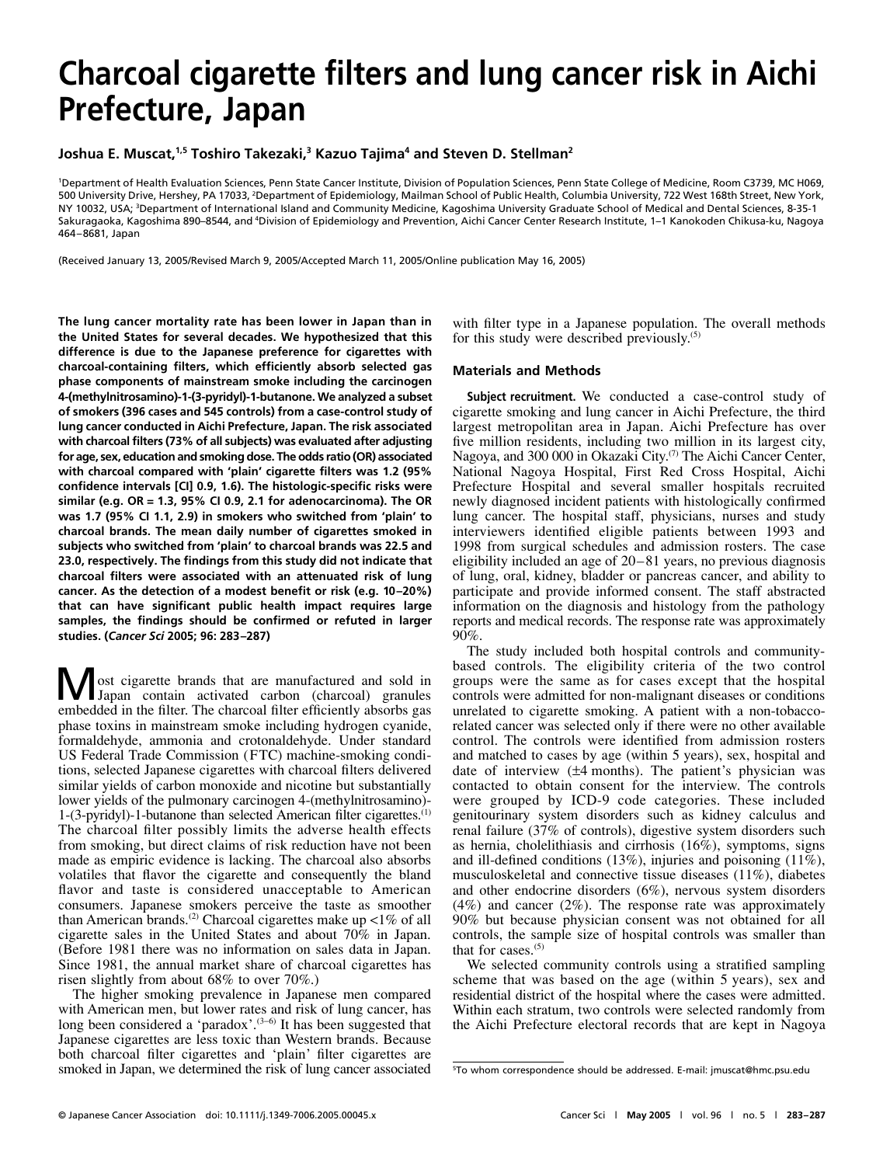# **Charcoal cigarette filters and lung cancer risk in Aichi Prefecture, Japan**

**Joshua E. Muscat,1,5 Toshiro Takezaki,3 Kazuo Tajima4 and Steven D. Stellman2**

1 Department of Health Evaluation Sciences, Penn State Cancer Institute, Division of Population Sciences, Penn State College of Medicine, Room C3739, MC H069, 500 University Drive, Hershey, PA 17033, <sup>2</sup>Department of Epidemiology, Mailman School of Public Health, Columbia University, 722 West 168th Street, New York, NY 10032, USA; 3 Department of International Island and Community Medicine, Kagoshima University Graduate School of Medical and Dental Sciences, 8-35-1 Sakuragaoka, Kagoshima 890–8544, and <sup>4</sup>Division of Epidemiology and Prevention, Aichi Cancer Center Research Institute, 1–1 Kanokoden Chikusa-ku, Nagoya 464–8681, Japan

(Received January 13, 2005/Revised March 9, 2005/Accepted March 11, 2005/Online publication May 16, 2005)

**The lung cancer mortality rate has been lower in Japan than in the United States for several decades. We hypothesized that this difference is due to the Japanese preference for cigarettes with charcoal-containing filters, which efficiently absorb selected gas phase components of mainstream smoke including the carcinogen 4-(methylnitrosamino)-1-(3-pyridyl)-1-butanone. We analyzed a subset of smokers (396 cases and 545 controls) from a case-control study of lung cancer conducted in Aichi Prefecture, Japan. The risk associated with charcoal filters (73% of all subjects) was evaluated after adjusting for age, sex, education and smoking dose. The odds ratio (OR) associated with charcoal compared with 'plain' cigarette filters was 1.2 (95% confidence intervals [CI] 0.9, 1.6). The histologic-specific risks were similar (e.g. OR = 1.3, 95% CI 0.9, 2.1 for adenocarcinoma). The OR was 1.7 (95% CI 1.1, 2.9) in smokers who switched from 'plain' to charcoal brands. The mean daily number of cigarettes smoked in subjects who switched from 'plain' to charcoal brands was 22.5 and 23.0, respectively. The findings from this study did not indicate that charcoal filters were associated with an attenuated risk of lung cancer. As the detection of a modest benefit or risk (e.g. 10–20%) that can have significant public health impact requires large samples, the findings should be confirmed or refuted in larger studies. (***Cancer Sci* **2005; 96: 283–287)**

**M** ost cigarette brands that are manufactured and sold in Japan contain activated carbon (charcoal) granules embedded in the filter. The charcoal filter efficiently absorbs gas phase toxins in mainstream smoke including hydrogen cyanide, formaldehyde, ammonia and crotonaldehyde. Under standard US Federal Trade Commission (FTC) machine-smoking conditions, selected Japanese cigarettes with charcoal filters delivered similar yields of carbon monoxide and nicotine but substantially lower yields of the pulmonary carcinogen 4-(methylnitrosamino)- 1-(3-pyridyl)-1-butanone than selected American filter cigarettes.(1) The charcoal filter possibly limits the adverse health effects from smoking, but direct claims of risk reduction have not been made as empiric evidence is lacking. The charcoal also absorbs volatiles that flavor the cigarette and consequently the bland flavor and taste is considered unacceptable to American consumers. Japanese smokers perceive the taste as smoother than American brands.<sup>(2)</sup> Charcoal cigarettes make up  $\lt 1\%$  of all cigarette sales in the United States and about 70% in Japan. (Before 1981 there was no information on sales data in Japan. Since 1981, the annual market share of charcoal cigarettes has risen slightly from about 68% to over 70%.)

The higher smoking prevalence in Japanese men compared with American men, but lower rates and risk of lung cancer, has long been considered a 'paradox'.(3<sup>−</sup>6) It has been suggested that Japanese cigarettes are less toxic than Western brands. Because both charcoal filter cigarettes and 'plain' filter cigarettes are smoked in Japan, we determined the risk of lung cancer associated with filter type in a Japanese population. The overall methods for this study were described previously.(5)

#### **Materials and Methods**

**Subject recruitment.** We conducted a case-control study of cigarette smoking and lung cancer in Aichi Prefecture, the third largest metropolitan area in Japan. Aichi Prefecture has over five million residents, including two million in its largest city, Nagoya, and 300 000 in Okazaki City.<sup>(7)</sup> The Aichi Cancer Center, National Nagoya Hospital, First Red Cross Hospital, Aichi Prefecture Hospital and several smaller hospitals recruited newly diagnosed incident patients with histologically confirmed lung cancer. The hospital staff, physicians, nurses and study interviewers identified eligible patients between 1993 and 1998 from surgical schedules and admission rosters. The case eligibility included an age of 20–81 years, no previous diagnosis of lung, oral, kidney, bladder or pancreas cancer, and ability to participate and provide informed consent. The staff abstracted information on the diagnosis and histology from the pathology reports and medical records. The response rate was approximately 90%.

The study included both hospital controls and communitybased controls. The eligibility criteria of the two control groups were the same as for cases except that the hospital controls were admitted for non-malignant diseases or conditions unrelated to cigarette smoking. A patient with a non-tobaccorelated cancer was selected only if there were no other available control. The controls were identified from admission rosters and matched to cases by age (within 5 years), sex, hospital and date of interview (±4 months). The patient's physician was contacted to obtain consent for the interview. The controls were grouped by ICD-9 code categories. These included genitourinary system disorders such as kidney calculus and renal failure (37% of controls), digestive system disorders such as hernia, cholelithiasis and cirrhosis (16%), symptoms, signs and ill-defined conditions (13%), injuries and poisoning (11%), musculoskeletal and connective tissue diseases (11%), diabetes and other endocrine disorders (6%), nervous system disorders  $(4\%)$  and cancer  $(2\%)$ . The response rate was approximately 90% but because physician consent was not obtained for all controls, the sample size of hospital controls was smaller than that for cases. $(5)$ 

We selected community controls using a stratified sampling scheme that was based on the age (within 5 years), sex and residential district of the hospital where the cases were admitted. Within each stratum, two controls were selected randomly from the Aichi Prefecture electoral records that are kept in Nagoya

<sup>5</sup> To whom correspondence should be addressed. E-mail: jmuscat@hmc.psu.edu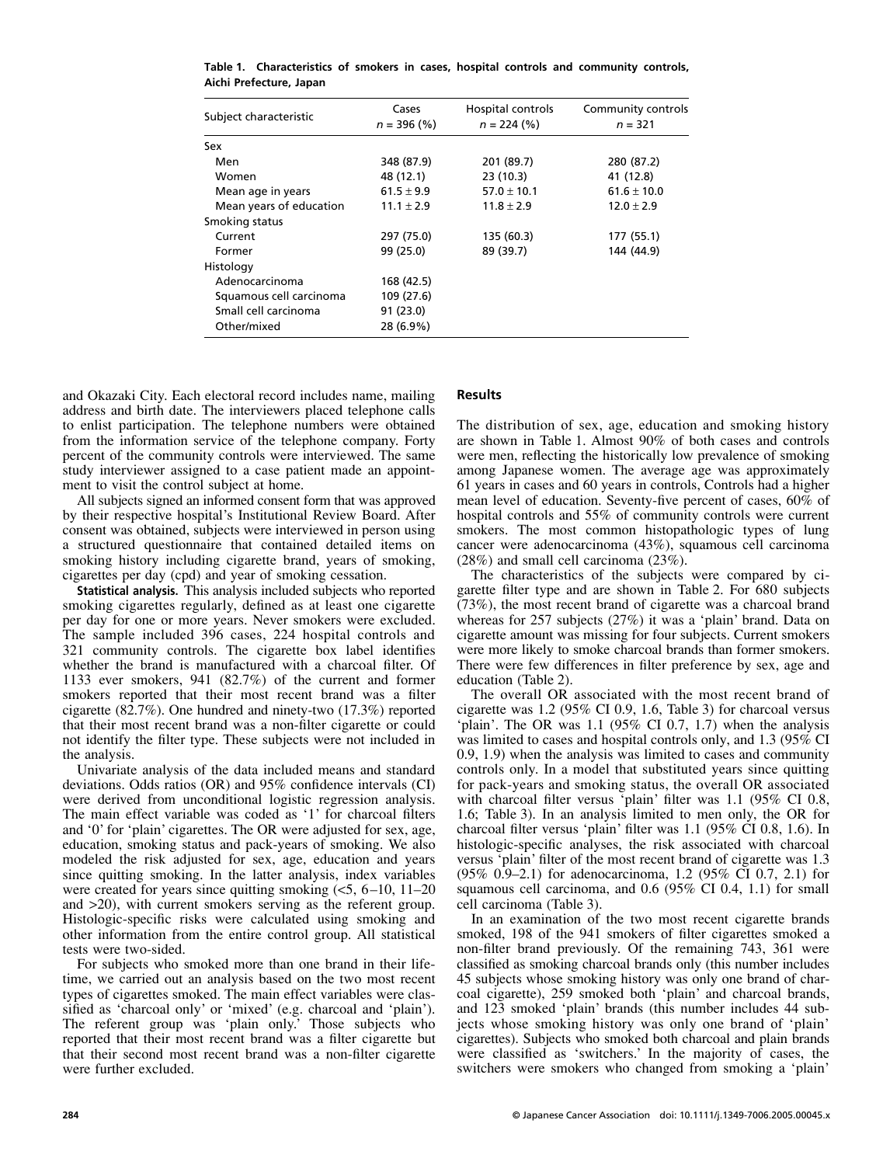| Subject characteristic  | Cases<br>$n = 396 (%)$ | Hospital controls<br>$n = 224$ (%) | Community controls<br>$n = 321$ |  |  |
|-------------------------|------------------------|------------------------------------|---------------------------------|--|--|
| Sex                     |                        |                                    |                                 |  |  |
| Men                     | 348 (87.9)             | 201 (89.7)                         | 280 (87.2)                      |  |  |
| Women                   | 48 (12.1)              | 23(10.3)                           | 41 (12.8)                       |  |  |
| Mean age in years       | $61.5 \pm 9.9$         | $57.0 \pm 10.1$                    | $61.6 \pm 10.0$                 |  |  |
| Mean years of education | $11.1 \pm 2.9$         | $11.8 \pm 2.9$                     | $12.0 \pm 2.9$                  |  |  |
| Smoking status          |                        |                                    |                                 |  |  |
| Current                 | 297 (75.0)             | 135 (60.3)                         | 177 (55.1)                      |  |  |
| Former                  | 99 (25.0)              | 89 (39.7)                          | 144 (44.9)                      |  |  |
| Histology               |                        |                                    |                                 |  |  |
| Adenocarcinoma          | 168 (42.5)             |                                    |                                 |  |  |
| Squamous cell carcinoma | 109 (27.6)             |                                    |                                 |  |  |
| Small cell carcinoma    | 91 (23.0)              |                                    |                                 |  |  |
| Other/mixed             | 28 (6.9%)              |                                    |                                 |  |  |

**Table 1. Characteristics of smokers in cases, hospital controls and community controls, Aichi Prefecture, Japan**

and Okazaki City. Each electoral record includes name, mailing address and birth date. The interviewers placed telephone calls to enlist participation. The telephone numbers were obtained from the information service of the telephone company. Forty percent of the community controls were interviewed. The same study interviewer assigned to a case patient made an appointment to visit the control subject at home.

All subjects signed an informed consent form that was approved by their respective hospital's Institutional Review Board. After consent was obtained, subjects were interviewed in person using a structured questionnaire that contained detailed items on smoking history including cigarette brand, years of smoking, cigarettes per day (cpd) and year of smoking cessation.

**Statistical analysis.** This analysis included subjects who reported smoking cigarettes regularly, defined as at least one cigarette per day for one or more years. Never smokers were excluded. The sample included 396 cases, 224 hospital controls and 321 community controls. The cigarette box label identifies whether the brand is manufactured with a charcoal filter. Of 1133 ever smokers, 941 (82.7%) of the current and former smokers reported that their most recent brand was a filter cigarette (82.7%). One hundred and ninety-two (17.3%) reported that their most recent brand was a non-filter cigarette or could not identify the filter type. These subjects were not included in the analysis.

Univariate analysis of the data included means and standard deviations. Odds ratios (OR) and 95% confidence intervals (CI) were derived from unconditional logistic regression analysis. The main effect variable was coded as '1' for charcoal filters and '0' for 'plain' cigarettes. The OR were adjusted for sex, age, education, smoking status and pack-years of smoking. We also modeled the risk adjusted for sex, age, education and years since quitting smoking. In the latter analysis, index variables were created for years since quitting smoking  $\leq 5$ , 6–10, 11–20 and >20), with current smokers serving as the referent group. Histologic-specific risks were calculated using smoking and other information from the entire control group. All statistical tests were two-sided.

For subjects who smoked more than one brand in their lifetime, we carried out an analysis based on the two most recent types of cigarettes smoked. The main effect variables were classified as 'charcoal only' or 'mixed' (e.g. charcoal and 'plain'). The referent group was 'plain only.' Those subjects who reported that their most recent brand was a filter cigarette but that their second most recent brand was a non-filter cigarette were further excluded.

## **Results**

The distribution of sex, age, education and smoking history are shown in Table 1. Almost 90% of both cases and controls were men, reflecting the historically low prevalence of smoking among Japanese women. The average age was approximately 61 years in cases and 60 years in controls, Controls had a higher mean level of education. Seventy-five percent of cases, 60% of hospital controls and 55% of community controls were current smokers. The most common histopathologic types of lung cancer were adenocarcinoma (43%), squamous cell carcinoma (28%) and small cell carcinoma (23%).

The characteristics of the subjects were compared by cigarette filter type and are shown in Table 2. For 680 subjects (73%), the most recent brand of cigarette was a charcoal brand whereas for 257 subjects (27%) it was a 'plain' brand. Data on cigarette amount was missing for four subjects. Current smokers were more likely to smoke charcoal brands than former smokers. There were few differences in filter preference by sex, age and education (Table 2).

The overall OR associated with the most recent brand of cigarette was 1.2 (95% CI 0.9, 1.6, Table 3) for charcoal versus 'plain'. The OR was 1.1 (95% CI 0.7, 1.7) when the analysis was limited to cases and hospital controls only, and 1.3 (95% CI 0.9, 1.9) when the analysis was limited to cases and community controls only. In a model that substituted years since quitting for pack-years and smoking status, the overall OR associated with charcoal filter versus 'plain' filter was 1.1 (95% CI 0.8, 1.6; Table 3). In an analysis limited to men only, the OR for charcoal filter versus 'plain' filter was 1.1 (95% CI 0.8, 1.6). In histologic-specific analyses, the risk associated with charcoal versus 'plain' filter of the most recent brand of cigarette was 1.3 (95% 0.9–2.1) for adenocarcinoma, 1.2 (95% CI 0.7, 2.1) for squamous cell carcinoma, and 0.6 (95% CI 0.4, 1.1) for small cell carcinoma (Table 3).

In an examination of the two most recent cigarette brands smoked, 198 of the 941 smokers of filter cigarettes smoked a non-filter brand previously. Of the remaining 743, 361 were classified as smoking charcoal brands only (this number includes 45 subjects whose smoking history was only one brand of charcoal cigarette), 259 smoked both 'plain' and charcoal brands, and 123 smoked 'plain' brands (this number includes 44 subjects whose smoking history was only one brand of 'plain' cigarettes). Subjects who smoked both charcoal and plain brands were classified as 'switchers.' In the majority of cases, the switchers were smokers who changed from smoking a 'plain'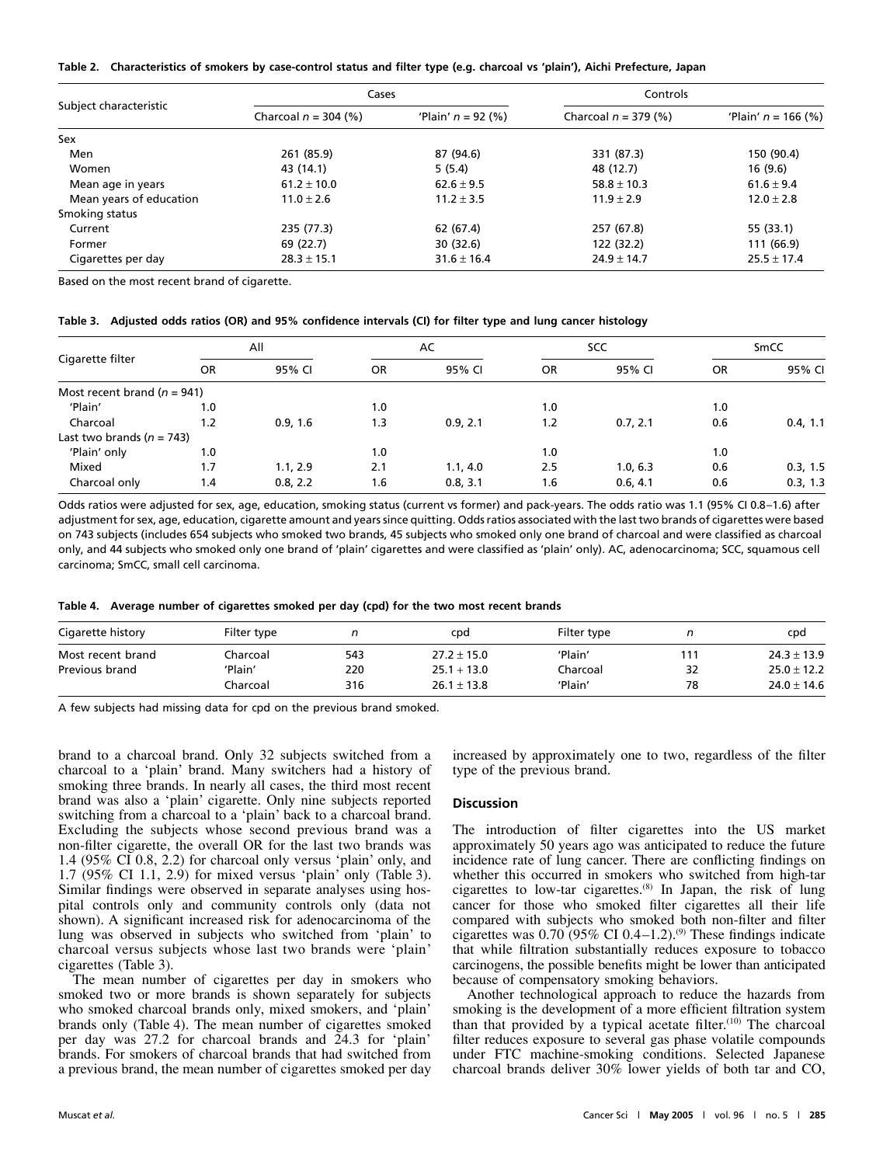|  | Table 2. Characteristics of smokers by case-control status and filter type (e.g. charcoal vs 'plain'), Aichi Prefecture, Japan |  |  |  |  |
|--|--------------------------------------------------------------------------------------------------------------------------------|--|--|--|--|
|--|--------------------------------------------------------------------------------------------------------------------------------|--|--|--|--|

|                         | Cases                  |                      | Controls               |                       |  |
|-------------------------|------------------------|----------------------|------------------------|-----------------------|--|
| Subject characteristic  | Charcoal $n = 304$ (%) | 'Plain' $n = 92$ (%) | Charcoal $n = 379$ (%) | 'Plain' $n = 166$ (%) |  |
| Sex                     |                        |                      |                        |                       |  |
| Men                     | 261 (85.9)             | 87 (94.6)            | 331 (87.3)             | 150 (90.4)            |  |
| Women                   | 43 (14.1)              | 5(5.4)               | 48 (12.7)              | 16 (9.6)              |  |
| Mean age in years       | $61.2 \pm 10.0$        | $62.6 \pm 9.5$       | $58.8 \pm 10.3$        | $61.6 \pm 9.4$        |  |
| Mean years of education | $11.0 \pm 2.6$         | $11.2 \pm 3.5$       | $11.9 \pm 2.9$         | $12.0 \pm 2.8$        |  |
| Smoking status          |                        |                      |                        |                       |  |
| Current                 | 235 (77.3)             | 62 (67.4)            | 257 (67.8)             | 55 (33.1)             |  |
| Former                  | 69 (22.7)              | 30 (32.6)            | 122 (32.2)             | 111 (66.9)            |  |
| Cigarettes per day      | $28.3 \pm 15.1$        | $31.6 \pm 16.4$      | $24.9 \pm 14.7$        | $25.5 \pm 17.4$       |  |

Based on the most recent brand of cigarette.

|  |  |  | Table 3.   Adjusted odds ratios (OR) and 95% confidence intervals (CI) for filter type and lung cancer histology |  |  |  |
|--|--|--|------------------------------------------------------------------------------------------------------------------|--|--|--|
|--|--|--|------------------------------------------------------------------------------------------------------------------|--|--|--|

|                                 |     | All      |     | AC       |           | <b>SCC</b> |           | SmCC     |  |
|---------------------------------|-----|----------|-----|----------|-----------|------------|-----------|----------|--|
| Cigarette filter                | OR  | 95% CI   | OR  | 95% CI   | <b>OR</b> | 95% CI     | <b>OR</b> | 95% CI   |  |
| Most recent brand ( $n = 941$ ) |     |          |     |          |           |            |           |          |  |
| 'Plain'                         | 1.0 |          | 1.0 |          | 1.0       |            | 1.0       |          |  |
| Charcoal                        | 1.2 | 0.9, 1.6 | 1.3 | 0.9, 2.1 | 1.2       | 0.7, 2.1   | 0.6       | 0.4, 1.1 |  |
| Last two brands ( $n = 743$ )   |     |          |     |          |           |            |           |          |  |
| 'Plain' only                    | 1.0 |          | 1.0 |          | 1.0       |            | 1.0       |          |  |
| Mixed                           | 1.7 | 1.1, 2.9 | 2.1 | 1.1, 4.0 | 2.5       | 1.0, 6.3   | 0.6       | 0.3, 1.5 |  |
| Charcoal only                   | 1.4 | 0.8, 2.2 | 1.6 | 0.8, 3.1 | 1.6       | 0.6, 4.1   | 0.6       | 0.3, 1.3 |  |

Odds ratios were adjusted for sex, age, education, smoking status (current vs former) and pack-years. The odds ratio was 1.1 (95% CI 0.8–1.6) after adjustment for sex, age, education, cigarette amount and years since quitting. Odds ratios associated with the last two brands of cigarettes were based on 743 subjects (includes 654 subjects who smoked two brands, 45 subjects who smoked only one brand of charcoal and were classified as charcoal only, and 44 subjects who smoked only one brand of 'plain' cigarettes and were classified as 'plain' only). AC, adenocarcinoma; SCC, squamous cell carcinoma; SmCC, small cell carcinoma.

**Table 4. Average number of cigarettes smoked per day (cpd) for the two most recent brands**

| Cigarette history | Filter type |     | cpd             | Filter type |     | cpd             |
|-------------------|-------------|-----|-----------------|-------------|-----|-----------------|
| Most recent brand | Charcoal    | 543 | $27.2 \pm 15.0$ | 'Plain      | 111 | $24.3 \pm 13.9$ |
| Previous brand    | 'Plain'     | 220 | $25.1 + 13.0$   | Charcoal    | 32  | $25.0 \pm 12.2$ |
|                   | Charcoal    | 316 | $26.1 \pm 13.8$ | 'Plain'     | 78  | $24.0 \pm 14.6$ |

A few subjects had missing data for cpd on the previous brand smoked.

brand to a charcoal brand. Only 32 subjects switched from a charcoal to a 'plain' brand. Many switchers had a history of smoking three brands. In nearly all cases, the third most recent brand was also a 'plain' cigarette. Only nine subjects reported switching from a charcoal to a 'plain' back to a charcoal brand. Excluding the subjects whose second previous brand was a non-filter cigarette, the overall OR for the last two brands was 1.4 (95% CI 0.8, 2.2) for charcoal only versus 'plain' only, and 1.7 (95% CI 1.1, 2.9) for mixed versus 'plain' only (Table 3). Similar findings were observed in separate analyses using hospital controls only and community controls only (data not shown). A significant increased risk for adenocarcinoma of the lung was observed in subjects who switched from 'plain' to charcoal versus subjects whose last two brands were 'plain' cigarettes (Table 3).

The mean number of cigarettes per day in smokers who smoked two or more brands is shown separately for subjects who smoked charcoal brands only, mixed smokers, and 'plain' brands only (Table 4). The mean number of cigarettes smoked per day was 27.2 for charcoal brands and 24.3 for 'plain' brands. For smokers of charcoal brands that had switched from a previous brand, the mean number of cigarettes smoked per day

increased by approximately one to two, regardless of the filter type of the previous brand.

### **Discussion**

The introduction of filter cigarettes into the US market approximately 50 years ago was anticipated to reduce the future incidence rate of lung cancer. There are conflicting findings on whether this occurred in smokers who switched from high-tar cigarettes to low-tar cigarettes.(8) In Japan, the risk of lung cancer for those who smoked filter cigarettes all their life compared with subjects who smoked both non-filter and filter cigarettes was  $0.70(95\% \text{ CI } 0.4-1.2).$ <sup>(9)</sup> These findings indicate that while filtration substantially reduces exposure to tobacco carcinogens, the possible benefits might be lower than anticipated because of compensatory smoking behaviors.

Another technological approach to reduce the hazards from smoking is the development of a more efficient filtration system than that provided by a typical acetate filter. $(10)$  The charcoal filter reduces exposure to several gas phase volatile compounds under FTC machine-smoking conditions. Selected Japanese charcoal brands deliver 30% lower yields of both tar and CO,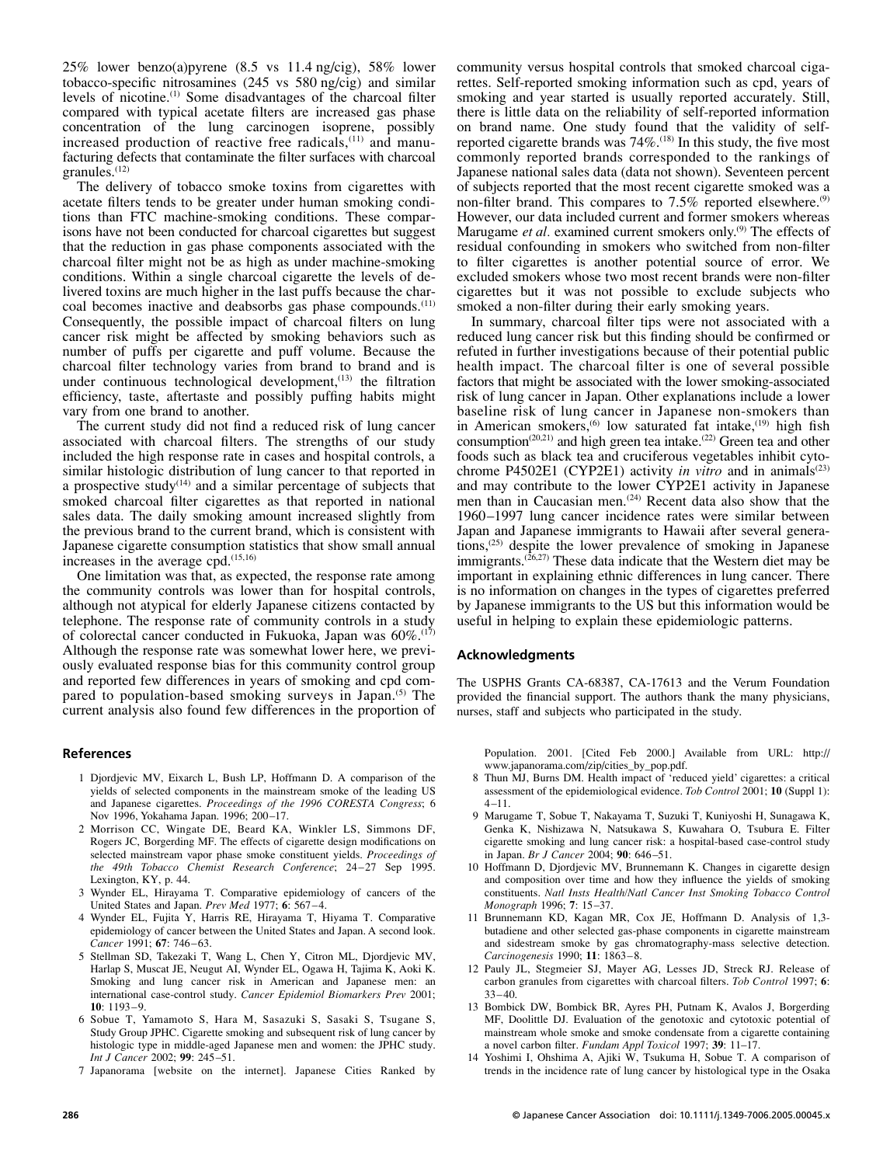25% lower benzo(a)pyrene (8.5 vs 11.4 ng/cig), 58% lower tobacco-specific nitrosamines (245 vs 580 ng/cig) and similar levels of nicotine.(1) Some disadvantages of the charcoal filter compared with typical acetate filters are increased gas phase concentration of the lung carcinogen isoprene, possibly increased production of reactive free radicals,(11) and manufacturing defects that contaminate the filter surfaces with charcoal granules.(12)

The delivery of tobacco smoke toxins from cigarettes with acetate filters tends to be greater under human smoking conditions than FTC machine-smoking conditions. These comparisons have not been conducted for charcoal cigarettes but suggest that the reduction in gas phase components associated with the charcoal filter might not be as high as under machine-smoking conditions. Within a single charcoal cigarette the levels of delivered toxins are much higher in the last puffs because the charcoal becomes inactive and deabsorbs gas phase compounds.<sup>(11)</sup> Consequently, the possible impact of charcoal filters on lung cancer risk might be affected by smoking behaviors such as number of puffs per cigarette and puff volume. Because the charcoal filter technology varies from brand to brand and is under continuous technological development,<sup>(13)</sup> the filtration efficiency, taste, aftertaste and possibly puffing habits might vary from one brand to another.

The current study did not find a reduced risk of lung cancer associated with charcoal filters. The strengths of our study included the high response rate in cases and hospital controls, a similar histologic distribution of lung cancer to that reported in a prospective study<sup> $(14)$ </sup> and a similar percentage of subjects that smoked charcoal filter cigarettes as that reported in national sales data. The daily smoking amount increased slightly from the previous brand to the current brand, which is consistent with Japanese cigarette consumption statistics that show small annual increases in the average cpd.(15,16)

One limitation was that, as expected, the response rate among the community controls was lower than for hospital controls, although not atypical for elderly Japanese citizens contacted by telephone. The response rate of community controls in a study of colorectal cancer conducted in Fukuoka, Japan was  $60\%$ .<sup>(17)</sup> Although the response rate was somewhat lower here, we previously evaluated response bias for this community control group and reported few differences in years of smoking and cpd compared to population-based smoking surveys in Japan.(5) The current analysis also found few differences in the proportion of

#### **References**

- 1 Djordjevic MV, Eixarch L, Bush LP, Hoffmann D. A comparison of the yields of selected components in the mainstream smoke of the leading US and Japanese cigarettes. *Proceedings of the 1996 CORESTA Congress*; 6 Nov 1996, Yokahama Japan. 1996; 200–17.
- 2 Morrison CC, Wingate DE, Beard KA, Winkler LS, Simmons DF, Rogers JC, Borgerding MF. The effects of cigarette design modifications on selected mainstream vapor phase smoke constituent yields. *Proceedings of the 49th Tobacco Chemist Research Conference*; 24–27 Sep 1995. Lexington, KY, p. 44.
- 3 Wynder EL, Hirayama T. Comparative epidemiology of cancers of the United States and Japan. *Prev Med* 1977; **6**: 567–4.
- 4 Wynder EL, Fujita Y, Harris RE, Hirayama T, Hiyama T. Comparative epidemiology of cancer between the United States and Japan. A second look. *Cancer* 1991; **67**: 746–63.
- 5 Stellman SD, Takezaki T, Wang L, Chen Y, Citron ML, Djordjevic MV, Harlap S, Muscat JE, Neugut AI, Wynder EL, Ogawa H, Tajima K, Aoki K. Smoking and lung cancer risk in American and Japanese men: an international case-control study. *Cancer Epidemiol Biomarkers Prev* 2001; **10**: 1193–9.
- 6 Sobue T, Yamamoto S, Hara M, Sasazuki S, Sasaki S, Tsugane S, Study Group JPHC. Cigarette smoking and subsequent risk of lung cancer by histologic type in middle-aged Japanese men and women: the JPHC study. *Int J Cancer* 2002; **99**: 245–51.
- 7 Japanorama [website on the internet]. Japanese Cities Ranked by

community versus hospital controls that smoked charcoal cigarettes. Self-reported smoking information such as cpd, years of smoking and year started is usually reported accurately. Still, there is little data on the reliability of self-reported information on brand name. One study found that the validity of selfreported cigarette brands was 74%.(18) In this study, the five most commonly reported brands corresponded to the rankings of Japanese national sales data (data not shown). Seventeen percent of subjects reported that the most recent cigarette smoked was a non-filter brand. This compares to  $7.5\%$  reported elsewhere.<sup>(9)</sup> However, our data included current and former smokers whereas Marugame *et al.* examined current smokers only.<sup>(9)</sup> The effects of residual confounding in smokers who switched from non-filter to filter cigarettes is another potential source of error. We excluded smokers whose two most recent brands were non-filter cigarettes but it was not possible to exclude subjects who smoked a non-filter during their early smoking years.

In summary, charcoal filter tips were not associated with a reduced lung cancer risk but this finding should be confirmed or refuted in further investigations because of their potential public health impact. The charcoal filter is one of several possible factors that might be associated with the lower smoking-associated risk of lung cancer in Japan. Other explanations include a lower baseline risk of lung cancer in Japanese non-smokers than in American smokers,<sup> $(6)$ </sup> low saturated fat intake, $(19)$  high fish consumption<sup>(20,21)</sup> and high green tea intake.<sup>(22)</sup> Green tea and other foods such as black tea and cruciferous vegetables inhibit cytochrome P4502E1 (CYP2E1) activity *in vitro* and in animals<sup>(23)</sup> and may contribute to the lower CYP2E1 activity in Japanese men than in Caucasian men.<sup>(24)</sup> Recent data also show that the 1960–1997 lung cancer incidence rates were similar between Japan and Japanese immigrants to Hawaii after several generations,<sup>(25)</sup> despite the lower prevalence of smoking in Japanese immigrants. $(26,27)$  These data indicate that the Western diet may be important in explaining ethnic differences in lung cancer. There is no information on changes in the types of cigarettes preferred by Japanese immigrants to the US but this information would be useful in helping to explain these epidemiologic patterns.

#### **Acknowledgments**

The USPHS Grants CA-68387, CA-17613 and the Verum Foundation provided the financial support. The authors thank the many physicians, nurses, staff and subjects who participated in the study.

Population. 2001. [Cited Feb 2000.] Available from URL: <http://> www.japanorama.com/zip/cities\_by\_pop.pdf.

- 8 Thun MJ, Burns DM. Health impact of 'reduced yield' cigarettes: a critical assessment of the epidemiological evidence. *Tob Control* 2001; **10** (Suppl 1): 4–11.
- 9 Marugame T, Sobue T, Nakayama T, Suzuki T, Kuniyoshi H, Sunagawa K, Genka K, Nishizawa N, Natsukawa S, Kuwahara O, Tsubura E. Filter cigarette smoking and lung cancer risk: a hospital-based case-control study in Japan. *Br J Cancer* 2004; **90**: 646–51.
- 10 Hoffmann D, Djordjevic MV, Brunnemann K. Changes in cigarette design and composition over time and how they influence the yields of smoking constituents. *Natl Insts Health/Natl Cancer Inst Smoking Tobacco Control Monograph* 1996; **7**: 15–37.
- 11 Brunnemann KD, Kagan MR, Cox JE, Hoffmann D. Analysis of 1,3 butadiene and other selected gas-phase components in cigarette mainstream and sidestream smoke by gas chromatography-mass selective detection. *Carcinogenesis* 1990; **11**: 1863–8.
- 12 Pauly JL, Stegmeier SJ, Mayer AG, Lesses JD, Streck RJ. Release of carbon granules from cigarettes with charcoal filters. *Tob Control* 1997; **6**: 33–40.
- 13 Bombick DW, Bombick BR, Ayres PH, Putnam K, Avalos J, Borgerding MF, Doolittle DJ. Evaluation of the genotoxic and cytotoxic potential of mainstream whole smoke and smoke condensate from a cigarette containing a novel carbon filter. *Fundam Appl Toxicol* 1997; **39**: 11–17.
- 14 Yoshimi I, Ohshima A, Ajiki W, Tsukuma H, Sobue T. A comparison of trends in the incidence rate of lung cancer by histological type in the Osaka